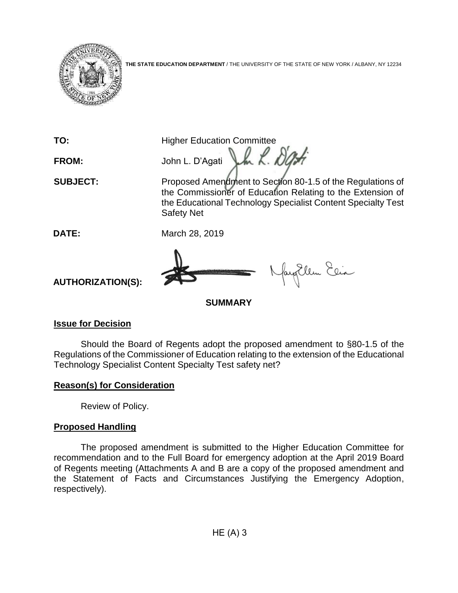

**THE STATE EDUCATION DEPARTMENT** / THE UNIVERSITY OF THE STATE OF NEW YORK / ALBANY, NY 12234

**TO:** Higher Education Committee FROM: John L. D'Agati Lk 200 **SUBJECT:** Proposed Amendment to Section 80-1.5 of the Regulations of the Commissioner of Education Relating to the Extension of the Educational Technology Specialist Content Specialty Test Safety Net **DATE:** March 28, 2019 fayEllen Elia **AUTHORIZATION(S):**

**SUMMARY**

# **Issue for Decision**

Should the Board of Regents adopt the proposed amendment to §80-1.5 of the Regulations of the Commissioner of Education relating to the extension of the Educational Technology Specialist Content Specialty Test safety net?

## **Reason(s) for Consideration**

Review of Policy.

## **Proposed Handling**

The proposed amendment is submitted to the Higher Education Committee for recommendation and to the Full Board for emergency adoption at the April 2019 Board of Regents meeting (Attachments A and B are a copy of the proposed amendment and the Statement of Facts and Circumstances Justifying the Emergency Adoption, respectively).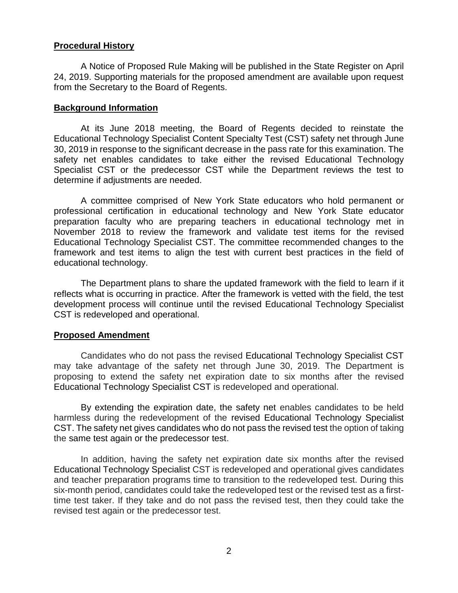#### **Procedural History**

A Notice of Proposed Rule Making will be published in the State Register on April 24, 2019. Supporting materials for the proposed amendment are available upon request from the Secretary to the Board of Regents.

#### **Background Information**

At its June 2018 meeting, the Board of Regents decided to reinstate the Educational Technology Specialist Content Specialty Test (CST) safety net through June 30, 2019 in response to the significant decrease in the pass rate for this examination. The safety net enables candidates to take either the revised Educational Technology Specialist CST or the predecessor CST while the Department reviews the test to determine if adjustments are needed.

A committee comprised of New York State educators who hold permanent or professional certification in educational technology and New York State educator preparation faculty who are preparing teachers in educational technology met in November 2018 to review the framework and validate test items for the revised Educational Technology Specialist CST. The committee recommended changes to the framework and test items to align the test with current best practices in the field of educational technology.

The Department plans to share the updated framework with the field to learn if it reflects what is occurring in practice. After the framework is vetted with the field, the test development process will continue until the revised Educational Technology Specialist CST is redeveloped and operational.

#### **Proposed Amendment**

Candidates who do not pass the revised Educational Technology Specialist CST may take advantage of the safety net through June 30, 2019. The Department is proposing to extend the safety net expiration date to six months after the revised Educational Technology Specialist CST is redeveloped and operational.

By extending the expiration date, the safety net enables candidates to be held harmless during the redevelopment of the revised Educational Technology Specialist CST. The safety net gives candidates who do not pass the revised test the option of taking the same test again or the predecessor test.

In addition, having the safety net expiration date six months after the revised Educational Technology Specialist CST is redeveloped and operational gives candidates and teacher preparation programs time to transition to the redeveloped test. During this six-month period, candidates could take the redeveloped test or the revised test as a firsttime test taker. If they take and do not pass the revised test, then they could take the revised test again or the predecessor test.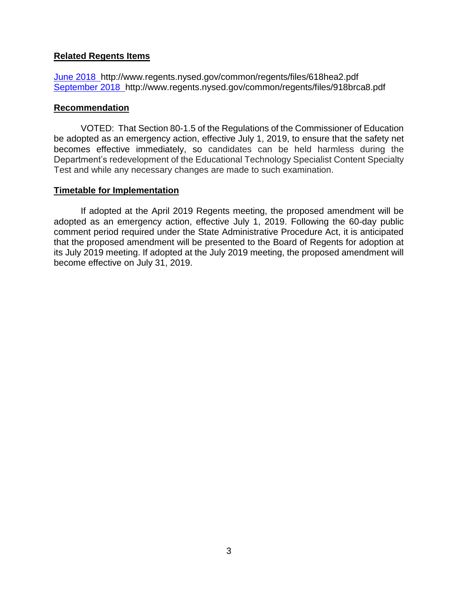#### **Related Regents Items**

[June 2018](http://www.regents.nysed.gov/common/regents/files/618hea2.pdf) http://www.regents.nysed.gov/common/regents/files/618hea2.pdf [September 2018](http://www.regents.nysed.gov/common/regents/files/918brca8.pdf) http://www.regents.nysed.gov/common/regents/files/918brca8.pdf

#### **Recommendation**

VOTED: That Section 80-1.5 of the Regulations of the Commissioner of Education be adopted as an emergency action, effective July 1, 2019, to ensure that the safety net becomes effective immediately, so candidates can be held harmless during the Department's redevelopment of the Educational Technology Specialist Content Specialty Test and while any necessary changes are made to such examination.

#### **Timetable for Implementation**

If adopted at the April 2019 Regents meeting, the proposed amendment will be adopted as an emergency action, effective July 1, 2019. Following the 60-day public comment period required under the State Administrative Procedure Act, it is anticipated that the proposed amendment will be presented to the Board of Regents for adoption at its July 2019 meeting. If adopted at the July 2019 meeting, the proposed amendment will become effective on July 31, 2019.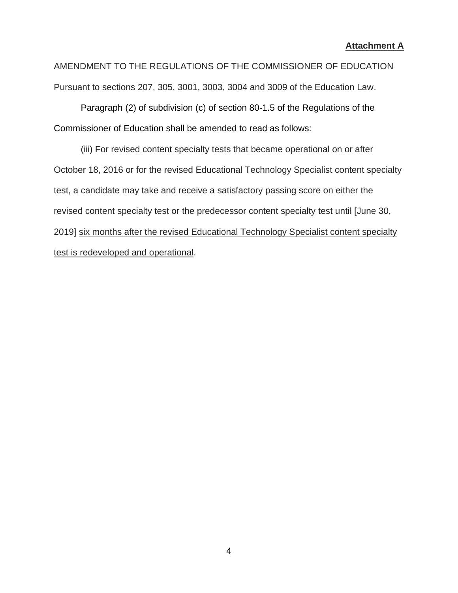#### **Attachment A**

AMENDMENT TO THE REGULATIONS OF THE COMMISSIONER OF EDUCATION Pursuant to sections 207, 305, 3001, 3003, 3004 and 3009 of the Education Law.

Paragraph (2) of subdivision (c) of section 80-1.5 of the Regulations of the Commissioner of Education shall be amended to read as follows:

(iii) For revised content specialty tests that became operational on or after October 18, 2016 or for the revised Educational Technology Specialist content specialty test, a candidate may take and receive a satisfactory passing score on either the revised content specialty test or the predecessor content specialty test until [June 30, 2019] six months after the revised Educational Technology Specialist content specialty test is redeveloped and operational.